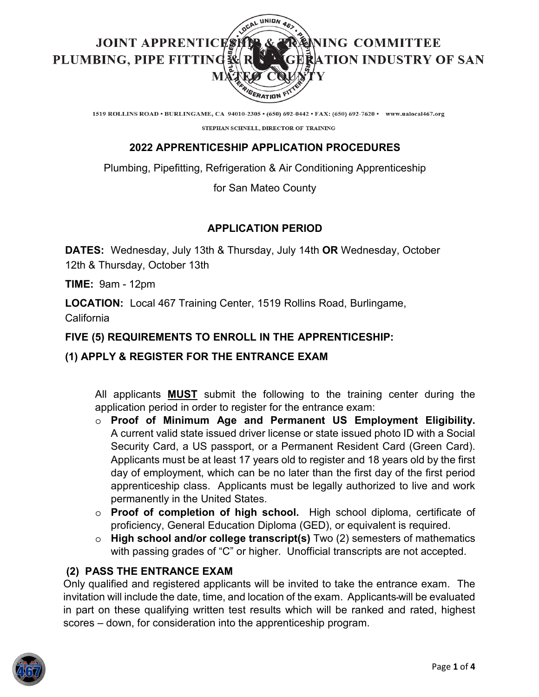

1519 ROLLINS ROAD . BURLINGAME, CA 94010-2305 . (650) 692-0442 . FAX: (650) 692-7620 . www.ualocal467.org

STEPHAN SCHNELL, DIRECTOR OF TRAINING

# **2022 APPRENTICESHIP APPLICATION PROCEDURES**

Plumbing, Pipefitting, Refrigeration & Air Conditioning Apprenticeship

## for San Mateo County

# **APPLICATION PERIOD**

**DATES:** Wednesday, July 13th & Thursday, July 14th **OR** Wednesday, October 12th & Thursday, October 13th

**TIME:** 9am - 12pm

**LOCATION:** Local 467 Training Center, 1519 Rollins Road, Burlingame, California

# **FIVE (5) REQUIREMENTS TO ENROLL IN THE APPRENTICESHIP:**

# **(1) APPLY & REGISTER FOR THE ENTRANCE EXAM**

All applicants **MUST** submit the following to the training center during the application period in order to register for the entrance exam:

- o **Proof of Minimum Age and Permanent US Employment Eligibility.** A current valid state issued driver license or state issued photo ID with a Social Security Card, a US passport, or a Permanent Resident Card (Green Card). Applicants must be at least 17 years old to register and 18 years old by the first day of employment, which can be no later than the first day of the first period apprenticeship class. Applicants must be legally authorized to live and work permanently in the United States.
- o **Proof of completion of high school.** High school diploma, certificate of proficiency, General Education Diploma (GED), or equivalent is required.
- o **High school and/or college transcript(s)** Two (2) semesters of mathematics with passing grades of "C" or higher. Unofficial transcripts are not accepted.

# **(2) PASS THE ENTRANCE EXAM**

Only qualified and registered applicants will be invited to take the entrance exam. The invitation will include the date, time, and location of the exam. Applicants-will be evaluated in part on these qualifying written test results which will be ranked and rated, highest scores – down, for consideration into the apprenticeship program.

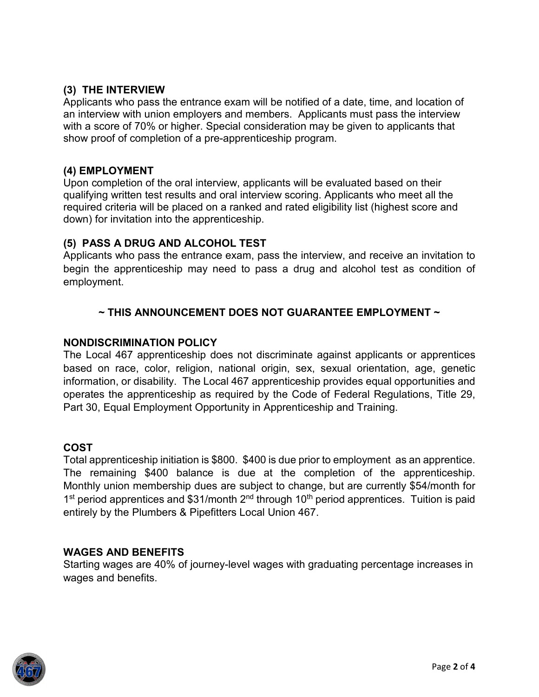## **(3) THE INTERVIEW**

Applicants who pass the entrance exam will be notified of a date, time, and location of an interview with union employers and members. Applicants must pass the interview with a score of 70% or higher. Special consideration may be given to applicants that show proof of completion of a pre-apprenticeship program.

## **(4) EMPLOYMENT**

Upon completion of the oral interview, applicants will be evaluated based on their qualifying written test results and oral interview scoring. Applicants who meet all the required criteria will be placed on a ranked and rated eligibility list (highest score and down) for invitation into the apprenticeship.

### **(5) PASS A DRUG AND ALCOHOL TEST**

Applicants who pass the entrance exam, pass the interview, and receive an invitation to begin the apprenticeship may need to pass a drug and alcohol test as condition of employment.

## **~ THIS ANNOUNCEMENT DOES NOT GUARANTEE EMPLOYMENT ~**

### **NONDISCRIMINATION POLICY**

The Local 467 apprenticeship does not discriminate against applicants or apprentices based on race, color, religion, national origin, sex, sexual orientation, age, genetic information, or disability. The Local 467 apprenticeship provides equal opportunities and operates the apprenticeship as required by the Code of Federal Regulations, Title 29, Part 30, Equal Employment Opportunity in Apprenticeship and Training.

### **COST**

Total apprenticeship initiation is \$800. \$400 is due prior to employment as an apprentice. The remaining \$400 balance is due at the completion of the apprenticeship. Monthly union membership dues are subject to change, but are currently \$54/month for 1<sup>st</sup> period apprentices and \$31/month 2<sup>nd</sup> through 10<sup>th</sup> period apprentices. Tuition is paid entirely by the Plumbers & Pipefitters Local Union 467.

#### **WAGES AND BENEFITS**

Starting wages are 40% of journey-level wages with graduating percentage increases in wages and benefits.

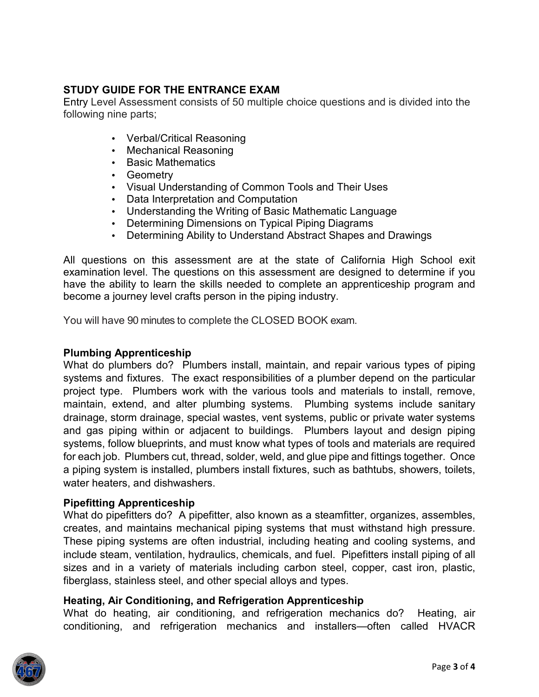## **STUDY GUIDE FOR THE ENTRANCE EXAM**

Entry Level Assessment consists of 50 multiple choice questions and is divided into the following nine parts;

- Verbal/Critical Reasoning
- Mechanical Reasoning
- Basic Mathematics
- Geometry
- Visual Understanding of Common Tools and Their Uses
- Data Interpretation and Computation
- Understanding the Writing of Basic Mathematic Language
- Determining Dimensions on Typical Piping Diagrams
- Determining Ability to Understand Abstract Shapes and Drawings

All questions on this assessment are at the state of California High School exit examination level. The questions on this assessment are designed to determine if you have the ability to learn the skills needed to complete an apprenticeship program and become a journey level crafts person in the piping industry.

You will have 90 minutes to complete the CLOSED BOOK exam.

### **Plumbing Apprenticeship**

What do plumbers do? Plumbers install, maintain, and repair various types of piping systems and fixtures. The exact responsibilities of a plumber depend on the particular project type. Plumbers work with the various tools and materials to install, remove, maintain, extend, and alter plumbing systems. Plumbing systems include sanitary drainage, storm drainage, special wastes, vent systems, public or private water systems and gas piping within or adjacent to buildings. Plumbers layout and design piping systems, follow blueprints, and must know what types of tools and materials are required for each job. Plumbers cut, thread, solder, weld, and glue pipe and fittings together. Once a piping system is installed, plumbers install fixtures, such as bathtubs, showers, toilets, water heaters, and dishwashers.

### **Pipefitting Apprenticeship**

What do pipefitters do? A pipefitter, also known as a steamfitter, organizes, assembles, creates, and maintains mechanical piping systems that must withstand high pressure. These piping systems are often industrial, including heating and cooling systems, and include steam, ventilation, hydraulics, chemicals, and fuel. Pipefitters install piping of all sizes and in a variety of materials including carbon steel, copper, cast iron, plastic, fiberglass, stainless steel, and other special alloys and types.

### **Heating, Air Conditioning, and Refrigeration Apprenticeship**

What do heating, air conditioning, and refrigeration mechanics do? Heating, air conditioning, and refrigeration mechanics and installers—often called HVACR

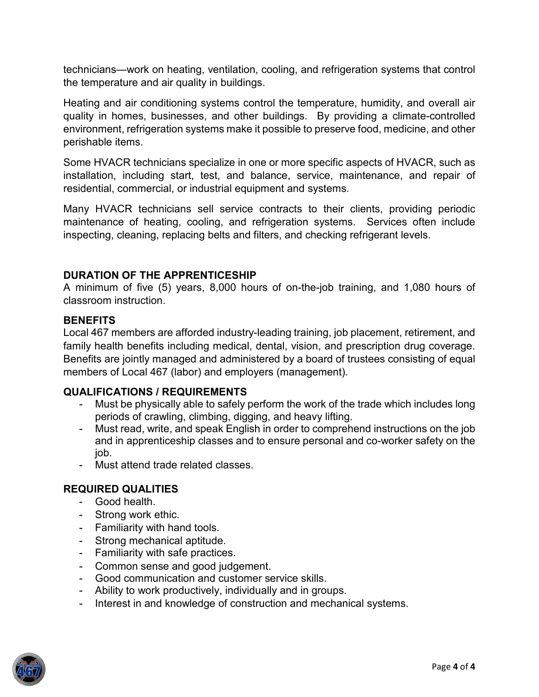technicians—work on heating, ventilation, cooling, and refrigeration systems that control the temperature and air quality in buildings.

Heating and air conditioning systems control the temperature, humidity, and overall air quality in homes, businesses, and other buildings. By providing a climate-controlled environment, refrigeration systems make it possible to preserve food, medicine, and other perishable items.

Some HVACR technicians specialize in one or more specific aspects of HVACR, such as installation, including start, test, and balance, service, maintenance, and repair of residential, commercial, or industrial equipment and systems.

Many HVACR technicians sell service contracts to their clients, providing periodic maintenance of heating, cooling, and refrigeration systems. Services often include inspecting, cleaning, replacing belts and filters, and checking refrigerant levels.

### **DURATION OF THE APPRENTICESHIP**

A minimum of five (5) years, 8,000 hours of on-the-job training, and 1,080 hours of classroom instruction.

#### **BENEFITS**

Local 467 members are afforded industry-leading training, job placement, retirement, and family health benefits including medical, dental, vision, and prescription drug coverage. Benefits are jointly managed and administered by a board of trustees consisting of equal members of Local 467 (labor) and employers (management).

### **QUALIFICATIONS / REQUIREMENTS**

- Must be physically able to safely perform the work of the trade which includes long periods of crawling, climbing, digging, and heavy lifting.
- Must read, write, and speak English in order to comprehend instructions on the job and in apprenticeship classes and to ensure personal and co-worker safety on the job.
- Must attend trade related classes.

## **REQUIRED QUALITIES**

- Good health.
- Strong work ethic.
- Familiarity with hand tools.
- Strong mechanical aptitude.
- Familiarity with safe practices.
- Common sense and good judgement.
- Good communication and customer service skills.
- Ability to work productively, individually and in groups.
- Interest in and knowledge of construction and mechanical systems.

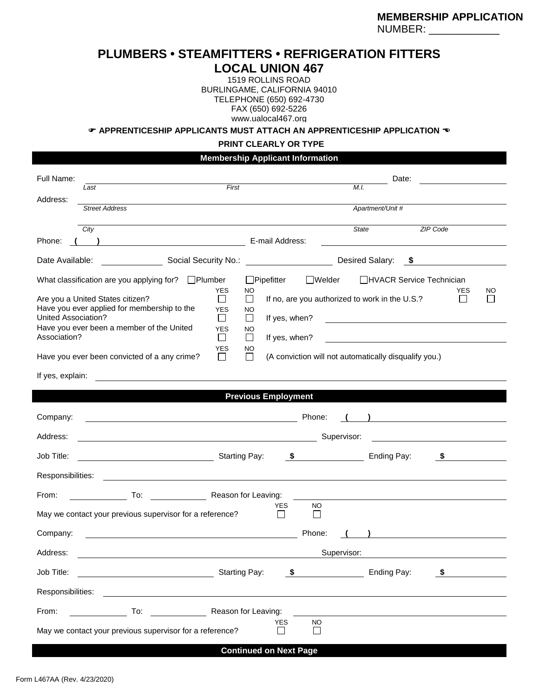### **PLUMBERS • STEAMFITTERS • REFRIGERATION FITTERS LOCAL UNION 467**

1519 ROLLINS ROAD BURLINGAME, CALIFORNIA 94010 TELEPHONE (650) 692-4730 FAX (650) 692-5226 www.ualocal467.org

**APPRENTICESHIP APPLICANTS MUST ATTACH AN APPRENTICESHIP APPLICATION** 

#### **PRINT CLEARLY OR TYPE**

**Membership Applicant Information**

| Full Name:                                                                                                                                          | First<br>Last                                                                                                        |                                                                             |                                                                                                                                                                            |                                                                                                                                                                                                                                | Date:<br>M.I. |                  |                                                                                                                       |           |  |
|-----------------------------------------------------------------------------------------------------------------------------------------------------|----------------------------------------------------------------------------------------------------------------------|-----------------------------------------------------------------------------|----------------------------------------------------------------------------------------------------------------------------------------------------------------------------|--------------------------------------------------------------------------------------------------------------------------------------------------------------------------------------------------------------------------------|---------------|------------------|-----------------------------------------------------------------------------------------------------------------------|-----------|--|
| Address:                                                                                                                                            | <b>Street Address</b>                                                                                                |                                                                             |                                                                                                                                                                            |                                                                                                                                                                                                                                |               | Apartment/Unit # |                                                                                                                       |           |  |
| Phone:                                                                                                                                              | City                                                                                                                 |                                                                             | E-mail Address:                                                                                                                                                            |                                                                                                                                                                                                                                | <b>State</b>  |                  | <b>ZIP Code</b>                                                                                                       |           |  |
| Date Available:                                                                                                                                     | Social Security No.:                                                                                                 | Desired Salary:<br>- \$                                                     |                                                                                                                                                                            |                                                                                                                                                                                                                                |               |                  |                                                                                                                       |           |  |
| What classification are you applying for?<br>Are you a United States citizen?<br>Have you ever applied for membership to the<br>United Association? |                                                                                                                      | $\Box$ Plumber<br><b>YES</b><br>$\mathsf{L}$<br><b>YES</b><br>$\mathsf{L}$  | □HVACR Service Technician<br>$\Box$ Pipefitter<br><b>■</b> Welder<br>NO<br>If no, are you authorized to work in the U.S.?<br>$\Box$<br>NO<br>If yes, when?<br>$\mathsf{L}$ |                                                                                                                                                                                                                                |               |                  |                                                                                                                       | <b>NO</b> |  |
| Have you ever been a member of the United<br><b>YES</b><br>Association?<br>$\Box$                                                                   |                                                                                                                      |                                                                             | NO<br>$\Box$<br>If yes, when?                                                                                                                                              |                                                                                                                                                                                                                                |               |                  |                                                                                                                       |           |  |
|                                                                                                                                                     | Have you ever been convicted of a any crime?                                                                         | NO<br>$\mathsf{L}$<br>(A conviction will not automatically disqualify you.) |                                                                                                                                                                            |                                                                                                                                                                                                                                |               |                  |                                                                                                                       |           |  |
| If yes, explain:                                                                                                                                    |                                                                                                                      |                                                                             |                                                                                                                                                                            |                                                                                                                                                                                                                                |               |                  |                                                                                                                       |           |  |
|                                                                                                                                                     |                                                                                                                      |                                                                             | <b>Previous Employment</b>                                                                                                                                                 |                                                                                                                                                                                                                                |               |                  |                                                                                                                       |           |  |
| Company:                                                                                                                                            |                                                                                                                      |                                                                             |                                                                                                                                                                            | Phone:                                                                                                                                                                                                                         |               |                  | <u> 1980 - Andrea Station Barbara, politik a</u>                                                                      |           |  |
| Address:                                                                                                                                            |                                                                                                                      |                                                                             |                                                                                                                                                                            |                                                                                                                                                                                                                                | Supervisor:   |                  |                                                                                                                       |           |  |
| Job Title:                                                                                                                                          | Starting Pay:                                                                                                        |                                                                             |                                                                                                                                                                            | $\sim$ 5                                                                                                                                                                                                                       |               | Ending Pay:      | \$                                                                                                                    |           |  |
| Responsibilities:                                                                                                                                   |                                                                                                                      |                                                                             |                                                                                                                                                                            |                                                                                                                                                                                                                                |               |                  |                                                                                                                       |           |  |
| From:                                                                                                                                               | To:                                                                                                                  |                                                                             | Reason for Leaving:                                                                                                                                                        |                                                                                                                                                                                                                                |               |                  |                                                                                                                       |           |  |
|                                                                                                                                                     | May we contact your previous supervisor for a reference?                                                             |                                                                             | <b>YES</b><br>ΙI                                                                                                                                                           | NO<br>$\Box$                                                                                                                                                                                                                   |               |                  |                                                                                                                       |           |  |
| Company:                                                                                                                                            | <u> 1989 - Johann Barbara, marka a shekara tsa 1989 - An tsa 1989 - An tsa 1989 - An tsa 1989 - An tsa 1989 - An</u> |                                                                             |                                                                                                                                                                            | Phone:                                                                                                                                                                                                                         |               |                  | <u> 1980 - Andrea Station Barbara, politik eta politik eta politik eta politik eta politik eta politik eta politi</u> |           |  |
| Address:                                                                                                                                            |                                                                                                                      |                                                                             |                                                                                                                                                                            |                                                                                                                                                                                                                                | Supervisor:   |                  |                                                                                                                       |           |  |
| Job Title:                                                                                                                                          |                                                                                                                      |                                                                             | <b>Starting Pay:</b>                                                                                                                                                       | $\sim$ 5 and 5 and 6 and 6 and 6 and 6 and 6 and 6 and 6 and 6 and 6 and 6 and 6 and 6 and 6 and 6 and 6 and 6 and 6 and 6 and 6 and 6 and 6 and 6 and 6 and 6 and 6 and 6 and 6 and 6 and 6 and 6 and 6 and 6 and 6 and 6 and |               | Ending Pay:      | S.                                                                                                                    |           |  |
| Responsibilities:                                                                                                                                   |                                                                                                                      |                                                                             |                                                                                                                                                                            |                                                                                                                                                                                                                                |               |                  |                                                                                                                       |           |  |
| From:                                                                                                                                               | $\overline{a}$ . To:                                                                                                 |                                                                             | Reason for Leaving:                                                                                                                                                        |                                                                                                                                                                                                                                |               |                  |                                                                                                                       |           |  |
|                                                                                                                                                     | May we contact your previous supervisor for a reference?                                                             |                                                                             | YES<br>$\blacksquare$<br><b>Continued on Next Page</b>                                                                                                                     | <b>NO</b><br>$\mathbf{I}$                                                                                                                                                                                                      |               |                  |                                                                                                                       |           |  |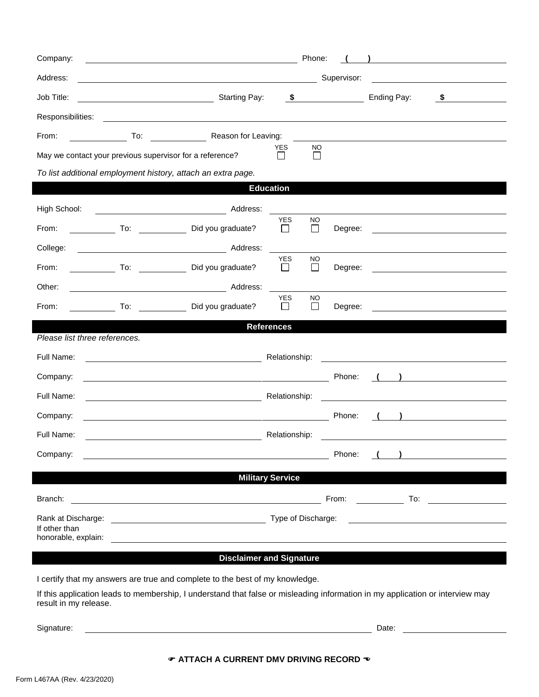| Company:                                                 |                                         |                                                                                                                               |                              | Phone:                    |         |                              |                                                  |  |
|----------------------------------------------------------|-----------------------------------------|-------------------------------------------------------------------------------------------------------------------------------|------------------------------|---------------------------|---------|------------------------------|--------------------------------------------------|--|
| Address:                                                 |                                         | Supervisor:                                                                                                                   |                              |                           |         |                              |                                                  |  |
| Job Title:                                               | <u> 1980 - Johann Barbara, martin a</u> | <b>Starting Pay:</b>                                                                                                          |                              |                           | $\sim$  | Ending Pay:                  | \$                                               |  |
| Responsibilities:                                        |                                         |                                                                                                                               |                              |                           |         |                              |                                                  |  |
| From:                                                    | To:                                     | Reason for Leaving:                                                                                                           |                              |                           |         |                              |                                                  |  |
| May we contact your previous supervisor for a reference? |                                         |                                                                                                                               | <b>YES</b><br>$\blacksquare$ | NO.                       |         |                              |                                                  |  |
|                                                          |                                         | To list additional employment history, attach an extra page.                                                                  |                              |                           |         |                              |                                                  |  |
|                                                          |                                         |                                                                                                                               | <b>Education</b>             |                           |         |                              |                                                  |  |
| High School:                                             | <u> 1980 - Johann Barbara, martxa a</u> | Address:                                                                                                                      |                              |                           |         |                              |                                                  |  |
| From:                                                    |                                         | To: Did you graduate?                                                                                                         | <b>YES</b><br>$\Box$         | <b>NO</b><br>$\Box$       | Degree: |                              |                                                  |  |
| College:                                                 |                                         |                                                                                                                               |                              |                           |         |                              |                                                  |  |
| From:                                                    |                                         | To: Did you graduate?                                                                                                         | <b>YES</b><br>$\mathsf{L}$   | <b>NO</b><br>$\mathsf{L}$ | Degree: |                              |                                                  |  |
| Other:                                                   |                                         | Address:                                                                                                                      |                              |                           |         |                              |                                                  |  |
| From:                                                    | To:                                     | Did you graduate?                                                                                                             | <b>YES</b>                   | <b>NO</b>                 | Degree: |                              |                                                  |  |
|                                                          |                                         |                                                                                                                               | <b>References</b>            |                           |         |                              |                                                  |  |
| Please list three references.                            |                                         |                                                                                                                               |                              |                           |         |                              |                                                  |  |
| Full Name:                                               |                                         |                                                                                                                               | Relationship:                |                           |         |                              |                                                  |  |
| Company:                                                 |                                         |                                                                                                                               |                              |                           | Phone:  |                              | ) <u>__</u> __________                           |  |
| Full Name:                                               |                                         | <u> 1989 - Johann Barbara, martin amerikan basar dan basar dalam basar dalam basar dalam basar dalam basar dalam</u>          | Relationship:                |                           |         |                              | the control of the control of the control of the |  |
| Company:                                                 |                                         | <u> 1980 - Johann Barn, mars ar breithinn ar chomhair an t-</u>                                                               |                              |                           | Phone:  |                              |                                                  |  |
| Full Name:                                               |                                         |                                                                                                                               | Relationship:                |                           |         |                              |                                                  |  |
| Company:                                                 |                                         |                                                                                                                               |                              |                           | Phone:  |                              |                                                  |  |
|                                                          |                                         |                                                                                                                               | <b>Military Service</b>      |                           |         |                              |                                                  |  |
| Branch:                                                  |                                         | <u> 1980 - Jan Stein Stein, fransk politik (f. 1980)</u>                                                                      |                              |                           | From:   | $\overline{\phantom{a}}$ To: |                                                  |  |
| Type of Discharge:<br>Rank at Discharge:                 |                                         |                                                                                                                               |                              |                           |         |                              |                                                  |  |
| If other than<br>honorable, explain:                     |                                         |                                                                                                                               |                              |                           |         |                              |                                                  |  |
|                                                          |                                         | <b>Disclaimer and Signature</b>                                                                                               |                              |                           |         |                              |                                                  |  |
|                                                          |                                         | I certify that my answers are true and complete to the best of my knowledge.                                                  |                              |                           |         |                              |                                                  |  |
| result in my release.                                    |                                         | If this application leads to membership, I understand that false or misleading information in my application or interview may |                              |                           |         |                              |                                                  |  |
| Signature:                                               |                                         |                                                                                                                               |                              |                           |         | Date:                        |                                                  |  |
|                                                          |                                         |                                                                                                                               |                              |                           |         |                              |                                                  |  |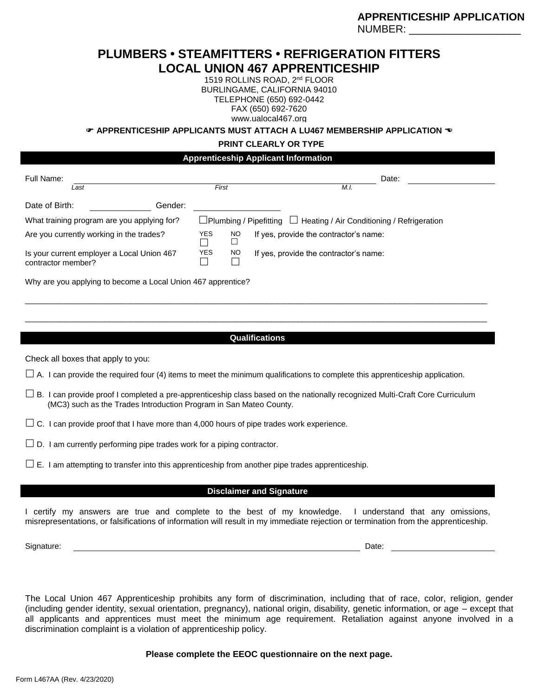# **PLUMBERS • STEAMFITTERS • REFRIGERATION FITTERS LOCAL UNION 467 APPRENTICESHIP**

1519 ROLLINS ROAD, 2nd FLOOR BURLINGAME, CALIFORNIA 94010 TELEPHONE (650) 692-0442 FAX (650) 692-7620 www.ualocal467.org

**APPRENTICESHIP APPLICANTS MUST ATTACH A LU467 MEMBERSHIP APPLICATION** 

**PRINT CLEARLY OR TYPE**

**Apprenticeship Applicant Information** Full Name: Date: *Last First M.I.* Date of Birth: Gender: What training program are you applying for?  $\Box$  Plumbing / Pipefitting  $\Box$  Heating / Air Conditioning / Refrigeration Are you currently working in the trades? YES  $\Box$ NO  $\Box$ If yes, provide the contractor's name: Is your current employer a Local Union 467 contractor member? YES  $\Box$ NO  $\Box$ If yes, provide the contractor's name:

Why are you applying to become a Local Union 467 apprentice?

#### **Qualifications**

\_\_\_\_\_\_\_\_\_\_\_\_\_\_\_\_\_\_\_\_\_\_\_\_\_\_\_\_\_\_\_\_\_\_\_\_\_\_\_\_\_\_\_\_\_\_\_\_\_\_\_\_\_\_\_\_\_\_\_\_\_\_\_\_\_\_\_\_\_\_\_\_\_\_\_\_\_\_\_\_\_\_\_\_\_\_\_\_\_\_\_\_\_\_\_\_\_\_\_\_\_\_\_\_\_

\_\_\_\_\_\_\_\_\_\_\_\_\_\_\_\_\_\_\_\_\_\_\_\_\_\_\_\_\_\_\_\_\_\_\_\_\_\_\_\_\_\_\_\_\_\_\_\_\_\_\_\_\_\_\_\_\_\_\_\_\_\_\_\_\_\_\_\_\_\_\_\_\_\_\_\_\_\_\_\_\_\_\_\_\_\_\_\_\_\_\_\_\_\_\_\_\_\_\_\_\_\_\_\_\_

Check all boxes that apply to you:

 $\Box$  A. I can provide the required four (4) items to meet the minimum qualifications to complete this apprenticeship application.

- $\Box$  B. I can provide proof I completed a pre-apprenticeship class based on the nationally recognized Multi-Craft Core Curriculum (MC3) such as the Trades Introduction Program in San Mateo County.
- $\Box$  C. I can provide proof that I have more than 4,000 hours of pipe trades work experience.
- $\Box$  D. I am currently performing pipe trades work for a piping contractor.
- $\square$  E. I am attempting to transfer into this apprenticeship from another pipe trades apprenticeship.

#### **Disclaimer and Signature**

I certify my answers are true and complete to the best of my knowledge. I understand that any omissions, misrepresentations, or falsifications of information will result in my immediate rejection or termination from the apprenticeship.

Signature: Date:

The Local Union 467 Apprenticeship prohibits any form of discrimination, including that of race, color, religion, gender (including gender identity, sexual orientation, pregnancy), national origin, disability, genetic information, or age – except that all applicants and apprentices must meet the minimum age requirement. Retaliation against anyone involved in a discrimination complaint is a violation of apprenticeship policy.

#### **Please complete the EEOC questionnaire on the next page.**